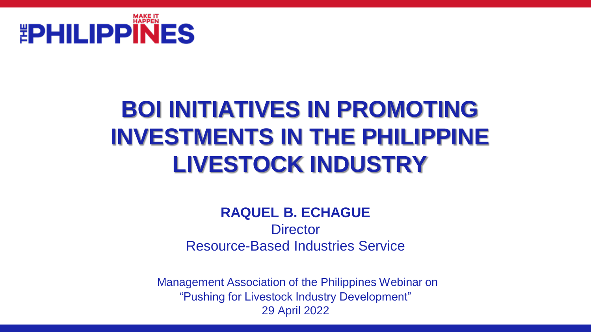

## **BOI INITIATIVES IN PROMOTING INVESTMENTS IN THE PHILIPPINE LIVESTOCK INDUSTRY**

### **RAQUEL B. ECHAGUE Director** Resource-Based Industries Service

Management Association of the Philippines Webinar on "Pushing for Livestock Industry Development" 29 April 2022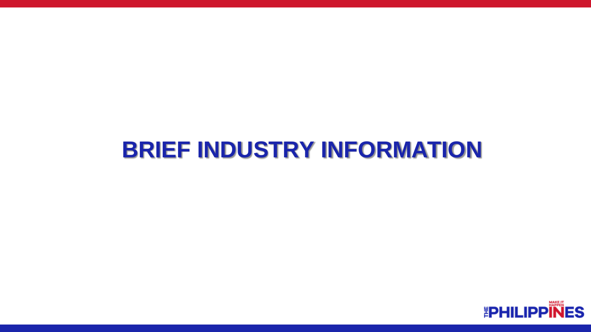### **BRIEF INDUSTRY INFORMATION**

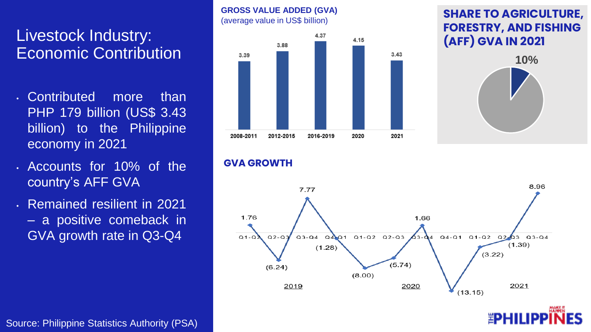### Livestock Industry: Economic Contribution

- Contributed more than PHP 179 billion (US\$ 3.43 billion) to the Philippine economy in 2021
- Accounts for 10% of the country's AFF GVA
- Remained resilient in 2021 – a positive comeback in GVA growth rate in Q3-Q4



#### **GVA GROWTH**

**GROSS VALUE ADDED (GVA)** 



#### **SHARE TO AGRICULTURE, FORESTRY, AND FISHING (AFF) GVA IN 2021**



Source: Philippine Statistics Authority (PSA)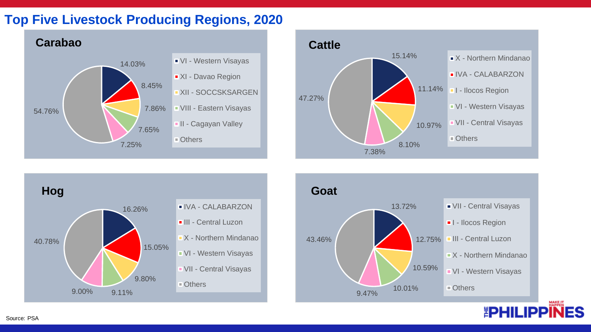#### **Top Five Livestock Producing Regions, 2020**









*EPHILIPP*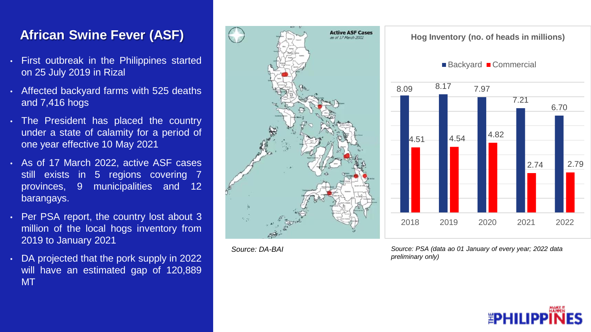### **African Swine Fever (ASF)**

- First outbreak in the Philippines started on 25 July 2019 in Rizal
- Affected backyard farms with 525 deaths and 7,416 hogs
- The President has placed the country under a state of calamity for a period of one year effective 10 May 2021
- As of 17 March 2022, active ASF cases still exists in 5 regions covering 7 provinces, 9 municipalities and 12 barangays.
- Per PSA report, the country lost about 3 million of the local hogs inventory from 2019 to January 2021
- DA projected that the pork supply in 2022 will have an estimated gap of 120,889 MT



*Source: DA-BAI*

*Source: PSA (data ao 01 January of every year; 2022 data preliminary only)*



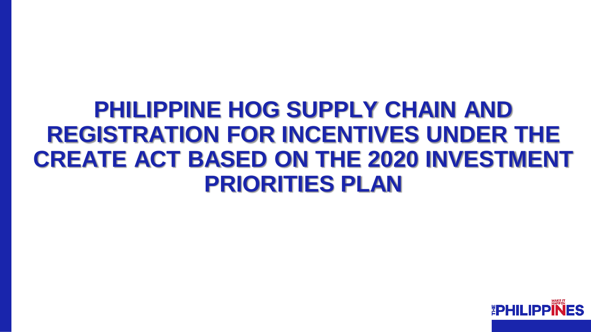### **PHILIPPINE HOG SUPPLY CHAIN AND REGISTRATION FOR INCENTIVES UNDER THE CREATE ACT BASED ON THE 2020 INVESTMENT PRIORITIES PLAN**

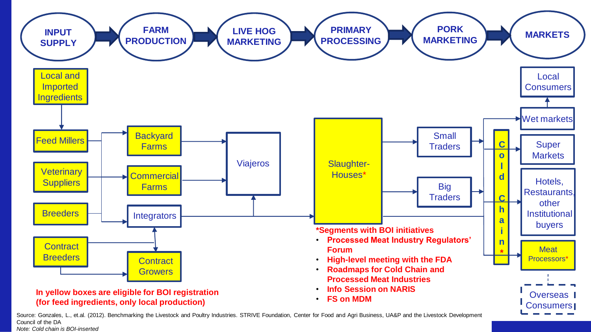

Source: Gonzales, L., et.al. (2012). Benchmarking the Livestock and Poultry Industries. STRIVE Foundation, Center for Food and Agri Business, UA&P and the Livestock Development Council of the DA *Note: Cold chain is BOI-inserted*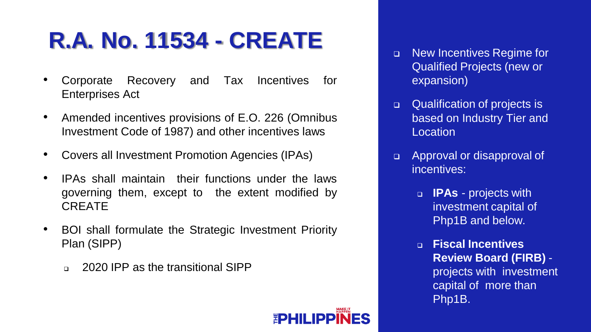# **R.A. No. 11534 - CREATE**

- Corporate Recovery and Tax Incentives for Enterprises Act
- Amended incentives provisions of E.O. 226 (Omnibus Investment Code of 1987) and other incentives laws
- Covers all Investment Promotion Agencies (IPAs)
- IPAs shall maintain their functions under the laws governing them, except to the extent modified by CREATE
- BOI shall formulate the Strategic Investment Priority Plan (SIPP)
	- ❑ 2020 IPP as the transitional SIPP

**EPHILI** 

- ❑ New Incentives Regime for Qualified Projects (new or expansion)
- ❑ Qualification of projects is based on Industry Tier and Location
- ❑ Approval or disapproval of incentives:
	- ❑ **IPAs**  projects with investment capital of Php1B and below.
	- ❑ **Fiscal Incentives Review Board (FIRB)**  projects with investment capital of more than Php1B.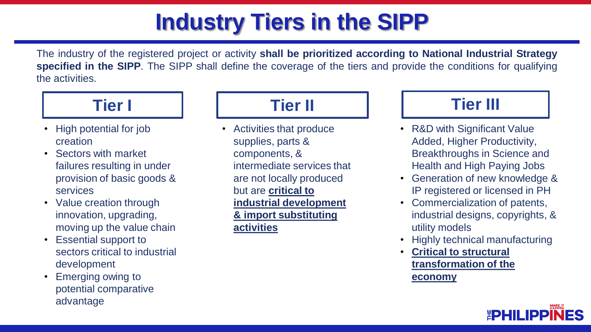## **Industry Tiers in the SIPP**

The industry of the registered project or activity **shall be prioritized according to National Industrial Strategy specified in the SIPP**. The SIPP shall define the coverage of the tiers and provide the conditions for qualifying the activities.



- High potential for job creation
- Sectors with market failures resulting in under provision of basic goods & services
- Value creation through innovation, upgrading, moving up the value chain
- Essential support to sectors critical to industrial development
- Emerging owing to potential comparative advantage

### **Tier II**

• Activities that produce supplies, parts & components, & intermediate services that are not locally produced but are **critical to industrial development & import substituting activities**



- R&D with Significant Value Added, Higher Productivity, Breakthroughs in Science and Health and High Paying Jobs
- Generation of new knowledge & IP registered or licensed in PH
- Commercialization of patents, industrial designs, copyrights, & utility models
- Highly technical manufacturing
- **Critical to structural transformation of the economy**

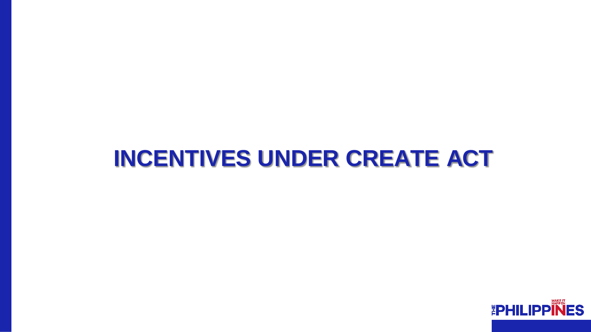### **INCENTIVES UNDER CREATE ACT**

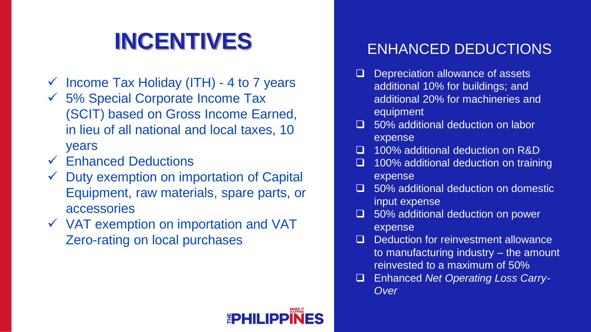### INCENTIVES ENHANCED DEDUCTIONS

- $\checkmark$  Income Tax Holiday (ITH) 4 to 7 years
- $\checkmark$  5% Special Corporate Income Tax (SCIT) based on Gross Income Earned, in lieu of all national and local taxes, 10 years
- $\checkmark$  Enhanced Deductions
- Duty exemption on importation of Capital Equipment, raw materials, spare parts, or accessories
- ✓ VAT exemption on importation and VAT Zero-rating on local purchases

- ❑ Depreciation allowance of assets additional 10% for buildings; and additional 20% for machineries and equipment
- ❑ 50% additional deduction on labor expense
- ❑ 100% additional deduction on R&D
- ❑ 100% additional deduction on training expense
- ❑ 50% additional deduction on domestic input expense
- ❑ 50% additional deduction on power expense
- ❑ Deduction for reinvestment allowance to manufacturing industry – the amount reinvested to a maximum of 50%
- ❑ Enhanced *Net Operating Loss Carry-Over*

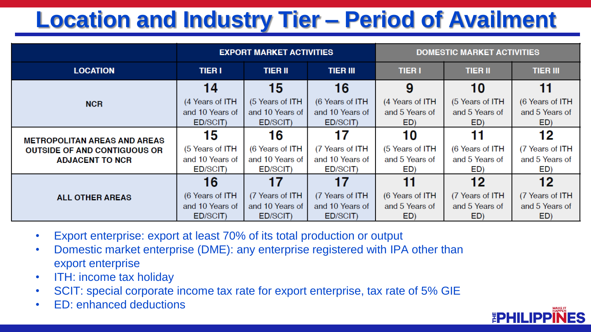# **Location and Industry Tier – Period of Availment**

|                                                                                                      | <b>EXPORT MARKET ACTIVITIES</b> |                 |                 | <b>DOMESTIC MARKET ACTIVITIES</b> |                 |                 |
|------------------------------------------------------------------------------------------------------|---------------------------------|-----------------|-----------------|-----------------------------------|-----------------|-----------------|
| <b>LOCATION</b>                                                                                      | <b>TIER I</b>                   | <b>TIER II</b>  | <b>TIER III</b> | <b>TIER I</b>                     | <b>TIER II</b>  | <b>TIER III</b> |
| <b>NCR</b>                                                                                           | 14                              | 15              | 16              | 9                                 | 10              | 11              |
|                                                                                                      | (4 Years of ITH                 | (5 Years of ITH | (6 Years of ITH | (4 Years of ITH                   | (5 Years of ITH | (6 Years of ITH |
|                                                                                                      | and 10 Years of                 | and 10 Years of | and 10 Years of | and 5 Years of                    | and 5 Years of  | and 5 Years of  |
|                                                                                                      | ED/SCIT)                        | ED/SCIT)        | ED/SCIT)        | ED)                               | ED)             | ED)             |
| <b>METROPOLITAN AREAS AND AREAS</b><br><b>OUTSIDE OF AND CONTIGUOUS OR</b><br><b>ADJACENT TO NCR</b> | 15                              | 16              | 17              | 10                                |                 | 12              |
|                                                                                                      | (5 Years of ITH                 | (6 Years of ITH | (7 Years of ITH | (5 Years of ITH                   | (6 Years of ITH | (7 Years of ITH |
|                                                                                                      | and 10 Years of                 | and 10 Years of | and 10 Years of | and 5 Years of                    | and 5 Years of  | and 5 Years of  |
|                                                                                                      | ED/SCIT)                        | ED/SCIT)        | ED/SCIT)        | ED)                               | ED)             | ED)             |
| <b>ALL OTHER AREAS</b>                                                                               | 16                              |                 | 17              | 11                                | 12              | 12              |
|                                                                                                      | (6 Years of ITH                 | (7 Years of ITH | (7 Years of ITH | (6 Years of ITH                   | (7 Years of ITH | (7 Years of ITH |
|                                                                                                      | and 10 Years of                 | and 10 Years of | and 10 Years of | and 5 Years of                    | and 5 Years of  | and 5 Years of  |
|                                                                                                      | ED/SCIT)                        | ED/SCIT)        | ED/SCIT)        | ED)                               | ED)             | ED)             |

- Export enterprise: export at least 70% of its total production or output
- Domestic market enterprise (DME): any enterprise registered with IPA other than export enterprise
- ITH: income tax holiday
- SCIT: special corporate income tax rate for export enterprise, tax rate of 5% GIE
- ED: enhanced deductions

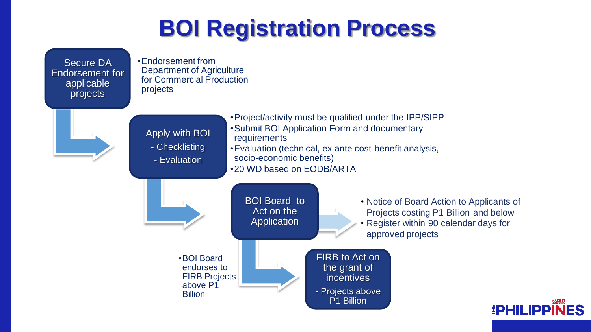### **BOI Registration Process**

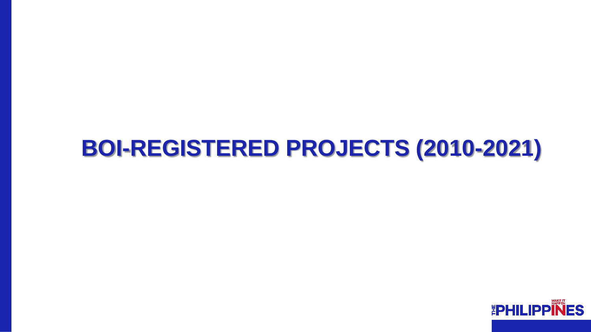

### **BOI-REGISTERED PROJECTS (2010-2021)**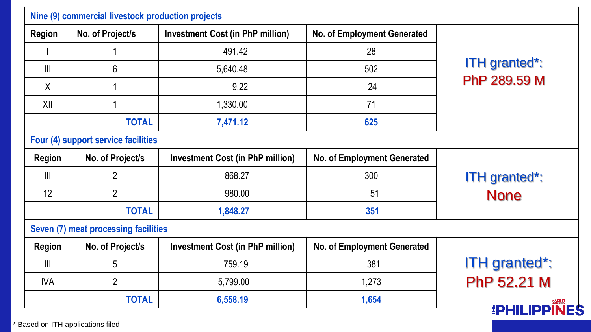| No. of Project/s                                                     | <b>Investment Cost (in PhP million)</b> | No. of Employment Generated                                                               | <b>ITH</b> granted*:<br>PhP 289.59 M |  |
|----------------------------------------------------------------------|-----------------------------------------|-------------------------------------------------------------------------------------------|--------------------------------------|--|
|                                                                      | 491.42                                  | 28                                                                                        |                                      |  |
| 6                                                                    | 5,640.48                                | 502                                                                                       |                                      |  |
|                                                                      | 9.22                                    | 24                                                                                        |                                      |  |
|                                                                      | 1,330.00                                | 71                                                                                        |                                      |  |
| <b>TOTAL</b>                                                         | 7,471.12                                | 625                                                                                       |                                      |  |
| Four (4) support service facilities                                  |                                         |                                                                                           |                                      |  |
| No. of Project/s                                                     | <b>Investment Cost (in PhP million)</b> | No. of Employment Generated                                                               | <b>ITH</b> granted*:<br><b>None</b>  |  |
| $\overline{2}$                                                       | 868.27                                  | 300                                                                                       |                                      |  |
| $\overline{2}$                                                       | 980.00                                  | 51                                                                                        |                                      |  |
| <b>TOTAL</b><br>1,848.27                                             |                                         | 351                                                                                       |                                      |  |
|                                                                      |                                         |                                                                                           |                                      |  |
| No. of Project/s                                                     | <b>Investment Cost (in PhP million)</b> | No. of Employment Generated                                                               | <b>ITH</b> granted*:                 |  |
| 5                                                                    | 759.19                                  | 381                                                                                       |                                      |  |
| $\overline{2}$<br><b>IVA</b><br>5,799.00<br><b>TOTAL</b><br>6,558.19 |                                         | 1,273                                                                                     | PhP 52.21 M                          |  |
|                                                                      |                                         | 1,654                                                                                     |                                      |  |
|                                                                      |                                         | Nine (9) commercial livestock production projects<br>Seven (7) meat processing facilities |                                      |  |